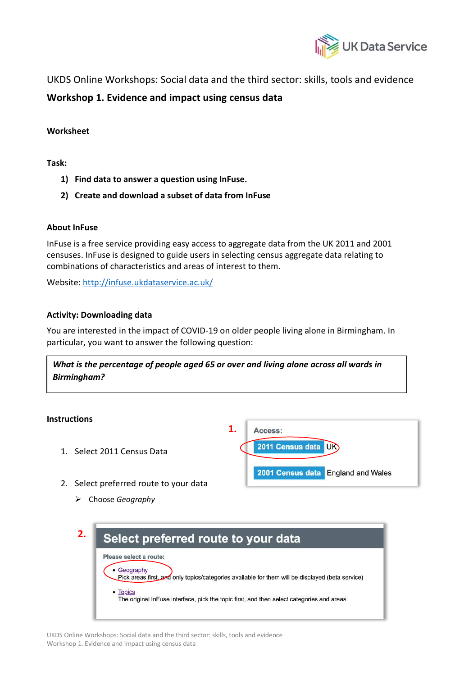

UKDS Online Workshops: Social data and the third sector: skills, tools and evidence

# **Workshop 1. Evidence and impact using census data**

## **Worksheet**

**Task:** 

- **1) Find data to answer a question using InFuse.**
- **2) Create and download a subset of data from InFuse**

## **About InFuse**

InFuse is a free service providing easy access to aggregate data from the UK 2011 and 2001 censuses. InFuse is designed to guide users in selecting census aggregate data relating to combinations of characteristics and areas of interest to them.

Website: http://infuse.ukdataservice.ac.uk/

## **Activity: Downloading data**

You are interested in the impact of COVID-19 on older people living alone in Birmingham. In particular, you want to answer the following question:

*What is the percentage of people aged 65 or over and living alone across all wards in Birmingham?* 

#### **Instructions**

- 1. Select 2011 Census Data
- 2. Select preferred route to your data
	- Ø Choose *Geography*



| 2. | Select preferred route to your data                                                                          |  |
|----|--------------------------------------------------------------------------------------------------------------|--|
|    | Please select a route:                                                                                       |  |
|    | Geography<br>(beta service) Pick areas first and only topics/categories available for them will be displayed |  |
|    | • Topics<br>The original InFuse interface, pick the topic first, and then select categories and areas        |  |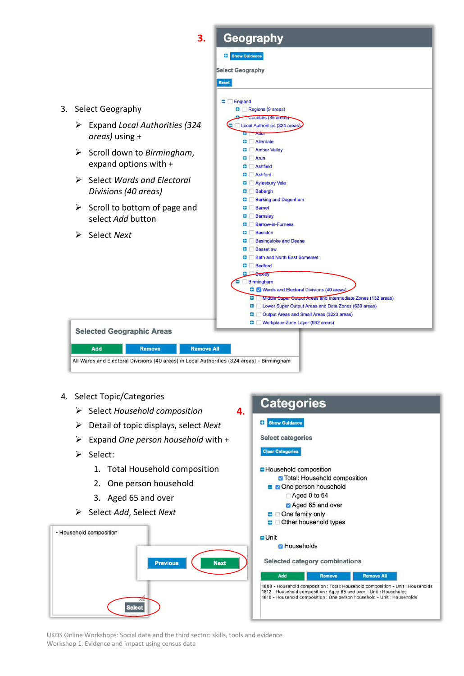

- 4. Select Topic/Categories
	- Ø Select *Household composition*
	- Ø Detail of topic displays, select *Next*
	- Ø Expand *One person household* with +
	- Ø Select:
		- 1. Total Household composition
		- 2. One person household
		- 3. Aged 65 and over
	- Ø Select *Add*, Select *Next*





UKDS Online Workshops: Social data and the third sector: skills, tools and evidence Workshop 1. Evidence and impact using census data